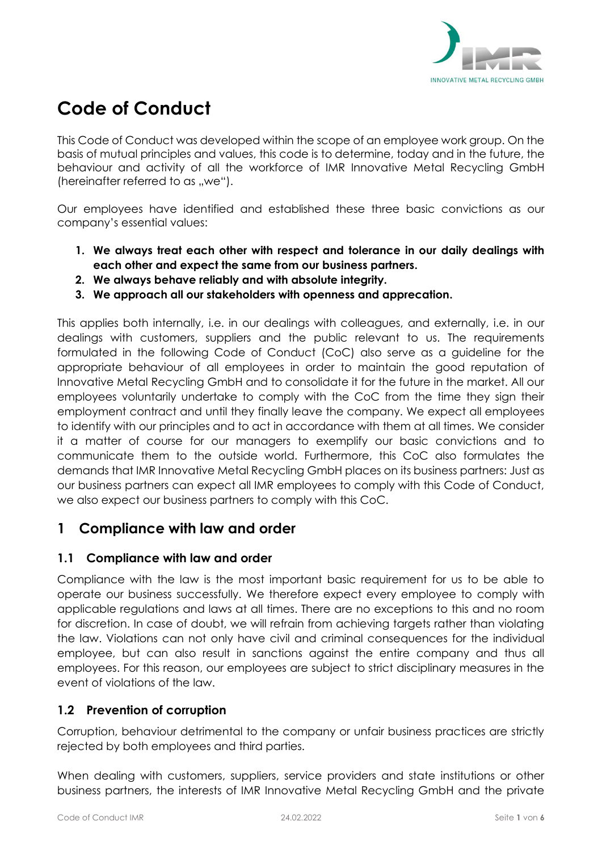

# **Code of Conduct**

This Code of Conduct was developed within the scope of an employee work group. On the basis of mutual principles and values, this code is to determine, today and in the future, the behaviour and activity of all the workforce of IMR Innovative Metal Recycling GmbH (hereinafter referred to as  $we$ ").

Our employees have identified and established these three basic convictions as our company's essential values:

- **1. We always treat each other with respect and tolerance in our daily dealings with each other and expect the same from our business partners.**
- **2. We always behave reliably and with absolute integrity.**
- **3. We approach all our stakeholders with openness and apprecation.**

This applies both internally, i.e. in our dealings with colleagues, and externally, i.e. in our dealings with customers, suppliers and the public relevant to us. The requirements formulated in the following Code of Conduct (CoC) also serve as a guideline for the appropriate behaviour of all employees in order to maintain the good reputation of Innovative Metal Recycling GmbH and to consolidate it for the future in the market. All our employees voluntarily undertake to comply with the CoC from the time they sign their employment contract and until they finally leave the company. We expect all employees to identify with our principles and to act in accordance with them at all times. We consider it a matter of course for our managers to exemplify our basic convictions and to communicate them to the outside world. Furthermore, this CoC also formulates the demands that IMR Innovative Metal Recycling GmbH places on its business partners: Just as our business partners can expect all IMR employees to comply with this Code of Conduct, we also expect our business partners to comply with this CoC.

# **1 Compliance with law and order**

#### **1.1 Compliance with law and order**

Compliance with the law is the most important basic requirement for us to be able to operate our business successfully. We therefore expect every employee to comply with applicable regulations and laws at all times. There are no exceptions to this and no room for discretion. In case of doubt, we will refrain from achieving targets rather than violating the law. Violations can not only have civil and criminal consequences for the individual employee, but can also result in sanctions against the entire company and thus all employees. For this reason, our employees are subject to strict disciplinary measures in the event of violations of the law.

# **1.2 Prevention of corruption**

Corruption, behaviour detrimental to the company or unfair business practices are strictly rejected by both employees and third parties.

When dealing with customers, suppliers, service providers and state institutions or other business partners, the interests of IMR Innovative Metal Recycling GmbH and the private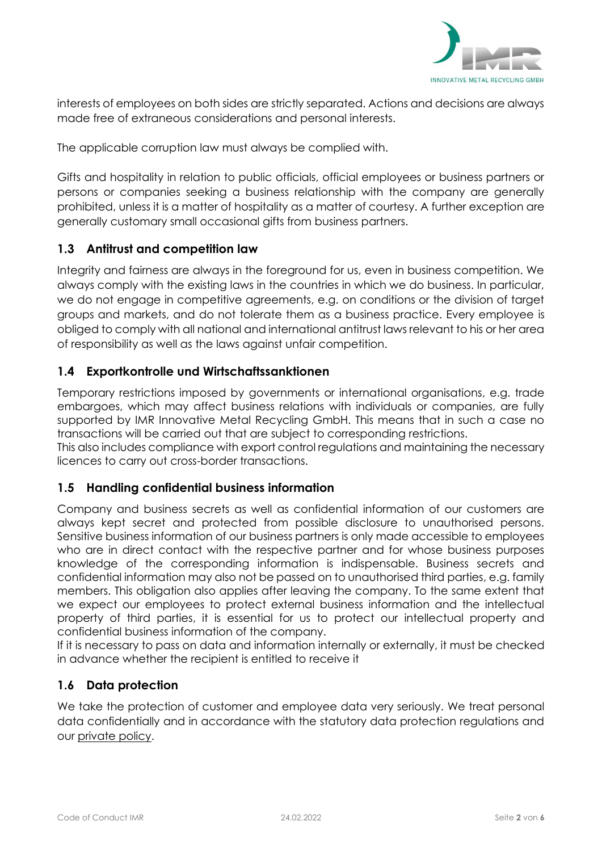

interests of employees on both sides are strictly separated. Actions and decisions are always made free of extraneous considerations and personal interests.

The applicable corruption law must always be complied with.

Gifts and hospitality in relation to public officials, official employees or business partners or persons or companies seeking a business relationship with the company are generally prohibited, unless it is a matter of hospitality as a matter of courtesy. A further exception are generally customary small occasional gifts from business partners.

## **1.3 Antitrust and competition law**

Integrity and fairness are always in the foreground for us, even in business competition. We always comply with the existing laws in the countries in which we do business. In particular, we do not engage in competitive agreements, e.g. on conditions or the division of target groups and markets, and do not tolerate them as a business practice. Every employee is obliged to comply with all national and international antitrust laws relevant to his or her area of responsibility as well as the laws against unfair competition.

#### **1.4 Exportkontrolle und Wirtschaftssanktionen**

Temporary restrictions imposed by governments or international organisations, e.g. trade embargoes, which may affect business relations with individuals or companies, are fully supported by IMR Innovative Metal Recycling GmbH. This means that in such a case no transactions will be carried out that are subject to corresponding restrictions.

This also includes compliance with export control regulations and maintaining the necessary licences to carry out cross-border transactions.

#### **1.5 Handling confidential business information**

Company and business secrets as well as confidential information of our customers are always kept secret and protected from possible disclosure to unauthorised persons. Sensitive business information of our business partners is only made accessible to employees who are in direct contact with the respective partner and for whose business purposes knowledge of the corresponding information is indispensable. Business secrets and confidential information may also not be passed on to unauthorised third parties, e.g. family members. This obligation also applies after leaving the company. To the same extent that we expect our employees to protect external business information and the intellectual property of third parties, it is essential for us to protect our intellectual property and confidential business information of the company.

If it is necessary to pass on data and information internally or externally, it must be checked in advance whether the recipient is entitled to receive it

#### **1.6 Data protection**

We take the protection of customer and employee data very seriously. We treat personal data confidentially and in accordance with the statutory data protection regulations and our [private policy.](https://www.imrecycling.de/en/datenschutz/)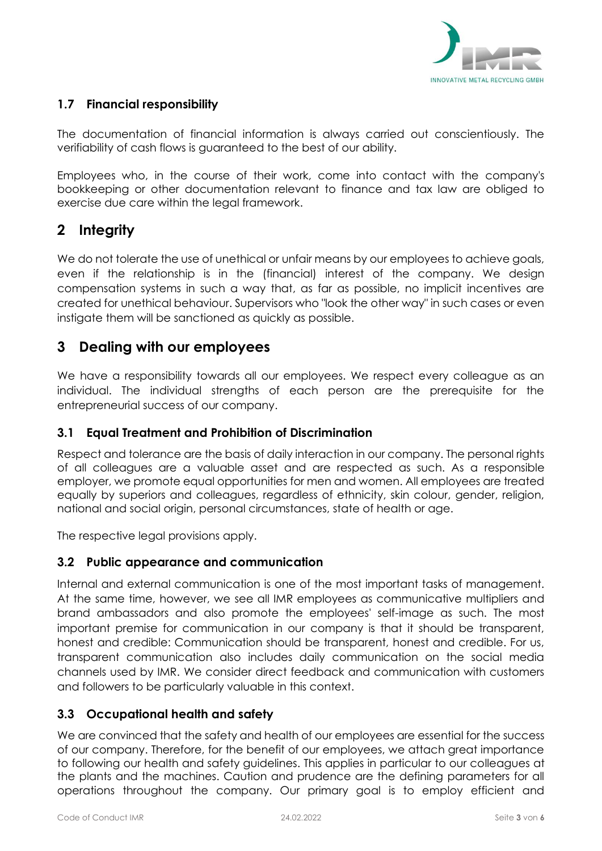

# **1.7 Financial responsibility**

The documentation of financial information is always carried out conscientiously. The verifiability of cash flows is guaranteed to the best of our ability.

Employees who, in the course of their work, come into contact with the company's bookkeeping or other documentation relevant to finance and tax law are obliged to exercise due care within the legal framework.

# **2 Integrity**

We do not tolerate the use of unethical or unfair means by our employees to achieve goals, even if the relationship is in the (financial) interest of the company. We design compensation systems in such a way that, as far as possible, no implicit incentives are created for unethical behaviour. Supervisors who "look the other way" in such cases or even instigate them will be sanctioned as quickly as possible.

# **3 Dealing with our employees**

We have a responsibility towards all our employees. We respect every colleague as an individual. The individual strengths of each person are the prerequisite for the entrepreneurial success of our company.

## **3.1 Equal Treatment and Prohibition of Discrimination**

Respect and tolerance are the basis of daily interaction in our company. The personal rights of all colleagues are a valuable asset and are respected as such. As a responsible employer, we promote equal opportunities for men and women. All employees are treated equally by superiors and colleagues, regardless of ethnicity, skin colour, gender, religion, national and social origin, personal circumstances, state of health or age.

The respective legal provisions apply.

#### **3.2 Public appearance and communication**

Internal and external communication is one of the most important tasks of management. At the same time, however, we see all IMR employees as communicative multipliers and brand ambassadors and also promote the employees' self-image as such. The most important premise for communication in our company is that it should be transparent, honest and credible: Communication should be transparent, honest and credible. For us, transparent communication also includes daily communication on the social media channels used by IMR. We consider direct feedback and communication with customers and followers to be particularly valuable in this context.

# **3.3 Occupational health and safety**

We are convinced that the safety and health of our employees are essential for the success of our company. Therefore, for the benefit of our employees, we attach great importance to following our health and safety guidelines. This applies in particular to our colleagues at the plants and the machines. Caution and prudence are the defining parameters for all operations throughout the company. Our primary goal is to employ efficient and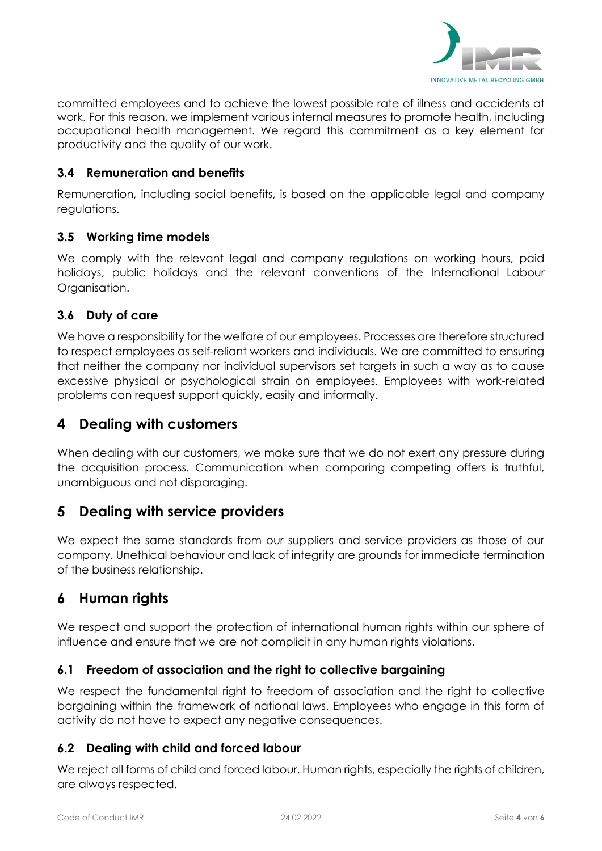

committed employees and to achieve the lowest possible rate of illness and accidents at work. For this reason, we implement various internal measures to promote health, including occupational health management. We regard this commitment as a key element for productivity and the quality of our work.

#### **3.4 Remuneration and benefits**

Remuneration, including social benefits, is based on the applicable legal and company regulations.

## **3.5 Working time models**

We comply with the relevant legal and company regulations on working hours, paid holidays, public holidays and the relevant conventions of the International Labour Organisation.

## **3.6 Duty of care**

We have a responsibility for the welfare of our employees. Processes are therefore structured to respect employees as self-reliant workers and individuals. We are committed to ensuring that neither the company nor individual supervisors set targets in such a way as to cause excessive physical or psychological strain on employees. Employees with work-related problems can request support quickly, easily and informally.

# **4 Dealing with customers**

When dealing with our customers, we make sure that we do not exert any pressure during the acquisition process. Communication when comparing competing offers is truthful, unambiguous and not disparaging.

# **5 Dealing with service providers**

We expect the same standards from our suppliers and service providers as those of our company. Unethical behaviour and lack of integrity are grounds for immediate termination of the business relationship.

# **6 Human rights**

We respect and support the protection of international human rights within our sphere of influence and ensure that we are not complicit in any human rights violations.

# **6.1 Freedom of association and the right to collective bargaining**

We respect the fundamental right to freedom of association and the right to collective bargaining within the framework of national laws. Employees who engage in this form of activity do not have to expect any negative consequences.

#### **6.2 Dealing with child and forced labour**

We reject all forms of child and forced labour. Human rights, especially the rights of children, are always respected.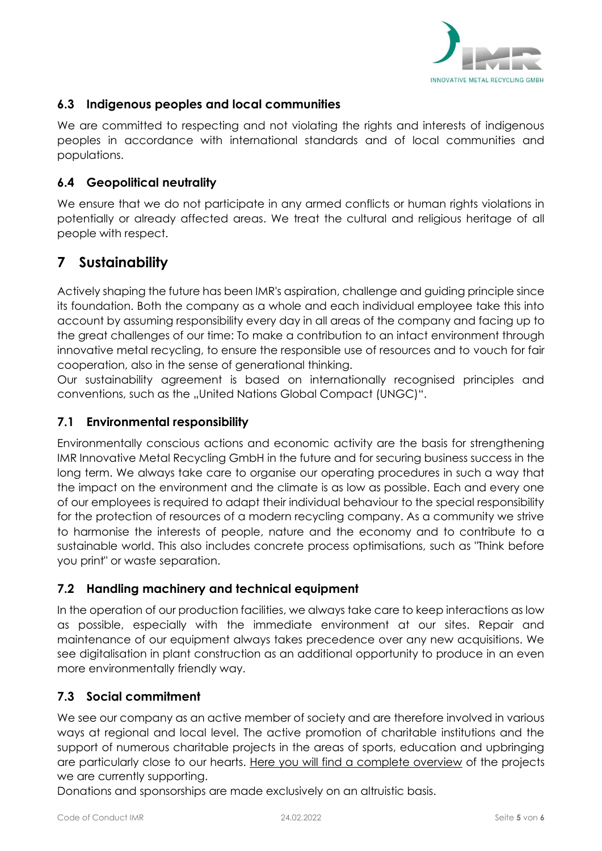

# **6.3 Indigenous peoples and local communities**

We are committed to respecting and not violating the rights and interests of indigenous peoples in accordance with international standards and of local communities and populations.

## **6.4 Geopolitical neutrality**

We ensure that we do not participate in any armed conflicts or human rights violations in potentially or already affected areas. We treat the cultural and religious heritage of all people with respect.

# **7 Sustainability**

Actively shaping the future has been IMR's aspiration, challenge and guiding principle since its foundation. Both the company as a whole and each individual employee take this into account by assuming responsibility every day in all areas of the company and facing up to the great challenges of our time: To make a contribution to an intact environment through innovative metal recycling, to ensure the responsible use of resources and to vouch for fair cooperation, also in the sense of generational thinking.

Our sustainability agreement is based on internationally recognised principles and conventions, such as the "United Nations Global Compact (UNGC)".

# **7.1 Environmental responsibility**

Environmentally conscious actions and economic activity are the basis for strengthening IMR Innovative Metal Recycling GmbH in the future and for securing business success in the long term. We always take care to organise our operating procedures in such a way that the impact on the environment and the climate is as low as possible. Each and every one of our employees is required to adapt their individual behaviour to the special responsibility for the protection of resources of a modern recycling company. As a community we strive to harmonise the interests of people, nature and the economy and to contribute to a sustainable world. This also includes concrete process optimisations, such as "Think before you print" or waste separation.

# **7.2 Handling machinery and technical equipment**

In the operation of our production facilities, we always take care to keep interactions as low as possible, especially with the immediate environment at our sites. Repair and maintenance of our equipment always takes precedence over any new acquisitions. We see digitalisation in plant construction as an additional opportunity to produce in an even more environmentally friendly way.

# **7.3 Social commitment**

We see our company as an active member of society and are therefore involved in various ways at regional and local level. The active promotion of charitable institutions and the support of numerous charitable projects in the areas of sports, education and upbringing are particularly close to our hearts. [Here you will find a complete overview](https://www.imrecycling.de/en/engagement/) of the projects we are currently supporting.

Donations and sponsorships are made exclusively on an altruistic basis.